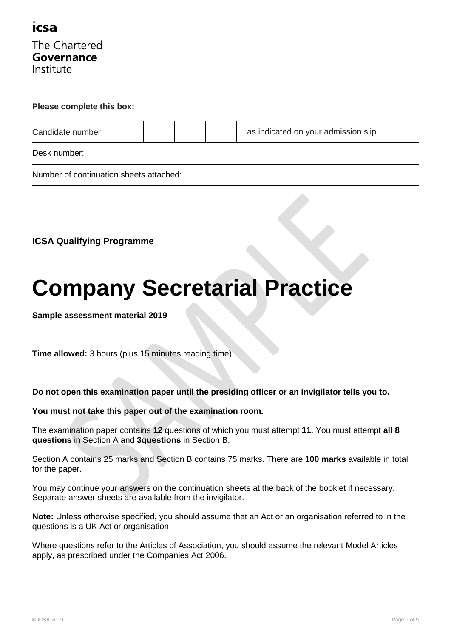

#### **Please complete this box:**

| Candidate number: |  |  |  | as indicated on your admission slip |
|-------------------|--|--|--|-------------------------------------|
| Desk number:      |  |  |  |                                     |

Number of continuation sheets attached:

**ICSA Qualifying Programme**

# **Company Secretarial Practice**

**Sample assessment material 2019**

**Time allowed:** 3 hours (plus 15 minutes reading time)

**Do not open this examination paper until the presiding officer or an invigilator tells you to.**

**You must not take this paper out of the examination room.**

The examination paper contains **12** questions of which you must attempt **11.** You must attempt **all 8 questions** in Section A and **3questions** in Section B.

Section A contains 25 marks and Section B contains 75 marks. There are **100 marks** available in total for the paper.

You may continue your answers on the continuation sheets at the back of the booklet if necessary. Separate answer sheets are available from the invigilator.

**Note:** Unless otherwise specified, you should assume that an Act or an organisation referred to in the questions is a UK Act or organisation.

Where questions refer to the Articles of Association, you should assume the relevant Model Articles apply, as prescribed under the Companies Act 2006.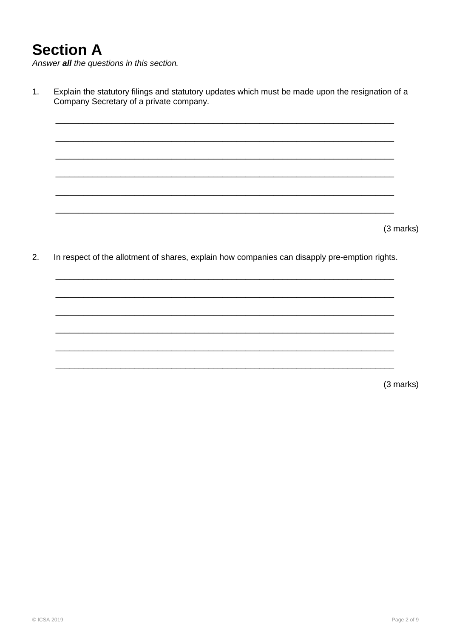### **Section A**

Answer all the questions in this section.

 $1.$ Explain the statutory filings and statutory updates which must be made upon the resignation of a Company Secretary of a private company.

(3 marks)

 $2.$ In respect of the allotment of shares, explain how companies can disapply pre-emption rights.

(3 marks)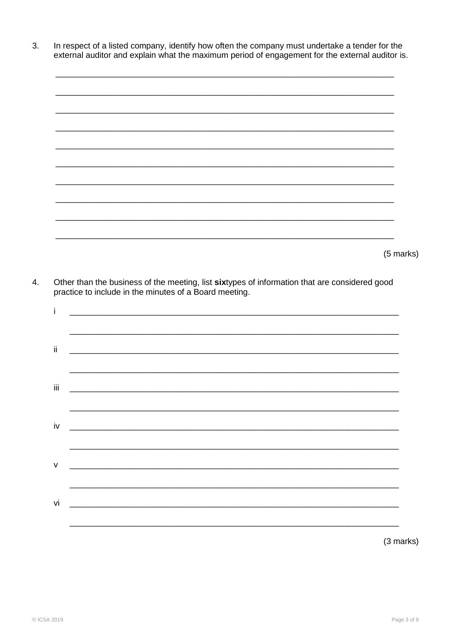In respect of a listed company, identify how often the company must undertake a tender for the 3. external auditor and explain what the maximum period of engagement for the external auditor is.

(5 marks)

Other than the business of the meeting, list sixtypes of information that are considered good practice to include in the minutes of a Board meeting.  $\overline{4}$ .

| i                      |                                                                                                                      |
|------------------------|----------------------------------------------------------------------------------------------------------------------|
| $\mathrm{ii}$          | <u> 1990 - Jan James James James James James James James James James James James James James James James James J</u> |
| Ϊİ                     |                                                                                                                      |
| $\mathsf{i}\mathsf{v}$ |                                                                                                                      |
| ${\sf V}$              | <u> 1990 - Johann Barn, mars an t-Amerikaansk politik (d. 1982)</u>                                                  |
| vi                     |                                                                                                                      |
|                        | (3 marks)                                                                                                            |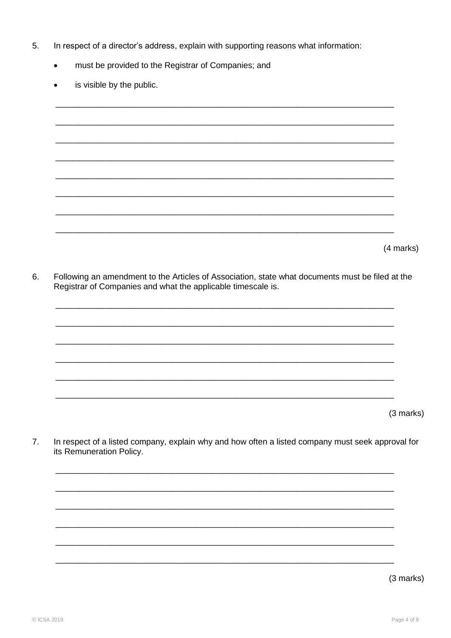- 5. In respect of a director's address, explain with supporting reasons what information:
	- must be provided to the Registrar of Companies; and  $\bullet$
	- is visible by the public.  $\bullet$

(4 marks)

Following an amendment to the Articles of Association, state what documents must be filed at the 6. Registrar of Companies and what the applicable timescale is.

|  |  | (3 marks) |
|--|--|-----------|

 $7.$ In respect of a listed company, explain why and how often a listed company must seek approval for its Remuneration Policy.



(3 marks)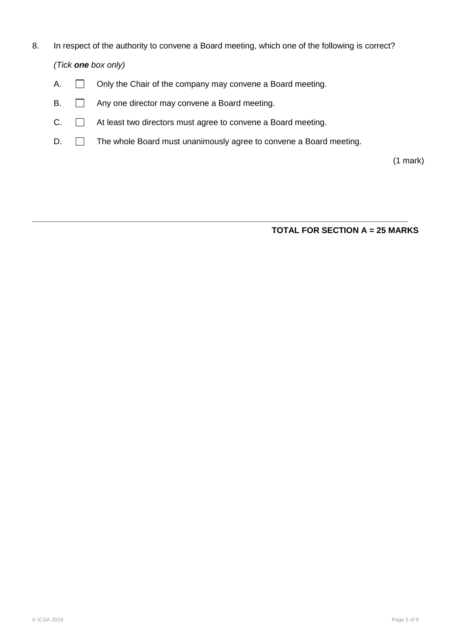- 8. In respect of the authority to convene a Board meeting, which one of the following is correct? *(Tick one box only)*
	- A.  $\Box$  Only the Chair of the company may convene a Board meeting.
	- B.  $\Box$  Any one director may convene a Board meeting.
	- C.  $\Box$  At least two directors must agree to convene a Board meeting.
	- D.  $\Box$  The whole Board must unanimously agree to convene a Board meeting.

**\_\_\_\_\_\_\_\_\_\_\_\_\_\_\_\_\_\_\_\_\_\_\_\_\_\_\_\_\_\_\_\_\_\_\_\_\_\_\_\_\_\_\_\_\_\_\_\_\_\_\_\_\_\_\_\_\_\_\_\_\_\_\_\_\_\_\_\_\_\_\_\_\_\_\_\_\_\_\_\_\_**

(1 mark)

**TOTAL FOR SECTION A = 25 MARKS**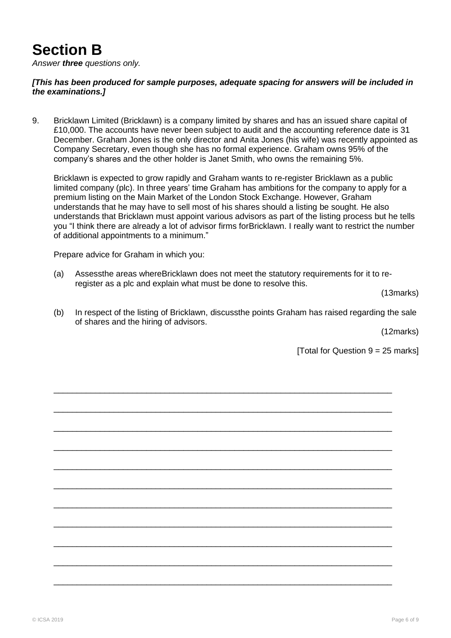## **Section B**

*Answer three questions only.*

#### *[This has been produced for sample purposes, adequate spacing for answers will be included in the examinations.]*

9. Bricklawn Limited (Bricklawn) is a company limited by shares and has an issued share capital of £10,000. The accounts have never been subject to audit and the accounting reference date is 31 December. Graham Jones is the only director and Anita Jones (his wife) was recently appointed as Company Secretary, even though she has no formal experience. Graham owns 95% of the company"s shares and the other holder is Janet Smith, who owns the remaining 5%.

Bricklawn is expected to grow rapidly and Graham wants to re-register Bricklawn as a public limited company (plc). In three years' time Graham has ambitions for the company to apply for a premium listing on the Main Market of the London Stock Exchange. However, Graham understands that he may have to sell most of his shares should a listing be sought. He also understands that Bricklawn must appoint various advisors as part of the listing process but he tells you "I think there are already a lot of advisor firms forBricklawn. I really want to restrict the number of additional appointments to a minimum."

Prepare advice for Graham in which you:

(a) Assessthe areas whereBricklawn does not meet the statutory requirements for it to reregister as a plc and explain what must be done to resolve this.

\_\_\_\_\_\_\_\_\_\_\_\_\_\_\_\_\_\_\_\_\_\_\_\_\_\_\_\_\_\_\_\_\_\_\_\_\_\_\_\_\_\_\_\_\_\_\_\_\_\_\_\_\_\_\_\_\_\_\_\_\_\_\_\_\_\_\_\_\_\_\_\_\_

\_\_\_\_\_\_\_\_\_\_\_\_\_\_\_\_\_\_\_\_\_\_\_\_\_\_\_\_\_\_\_\_\_\_\_\_\_\_\_\_\_\_\_\_\_\_\_\_\_\_\_\_\_\_\_\_\_\_\_\_\_\_\_\_\_\_\_\_\_\_\_\_\_

\_\_\_\_\_\_\_\_\_\_\_\_\_\_\_\_\_\_\_\_\_\_\_\_\_\_\_\_\_\_\_\_\_\_\_\_\_\_\_\_\_\_\_\_\_\_\_\_\_\_\_\_\_\_\_\_\_\_\_\_\_\_\_\_\_\_\_\_\_\_\_\_\_

\_\_\_\_\_\_\_\_\_\_\_\_\_\_\_\_\_\_\_\_\_\_\_\_\_\_\_\_\_\_\_\_\_\_\_\_\_\_\_\_\_\_\_\_\_\_\_\_\_\_\_\_\_\_\_\_\_\_\_\_\_\_\_\_\_\_\_\_\_\_\_\_\_

\_\_\_\_\_\_\_\_\_\_\_\_\_\_\_\_\_\_\_\_\_\_\_\_\_\_\_\_\_\_\_\_\_\_\_\_\_\_\_\_\_\_\_\_\_\_\_\_\_\_\_\_\_\_\_\_\_\_\_\_\_\_\_\_\_\_\_\_\_\_\_\_\_

\_\_\_\_\_\_\_\_\_\_\_\_\_\_\_\_\_\_\_\_\_\_\_\_\_\_\_\_\_\_\_\_\_\_\_\_\_\_\_\_\_\_\_\_\_\_\_\_\_\_\_\_\_\_\_\_\_\_\_\_\_\_\_\_\_\_\_\_\_\_\_\_\_

\_\_\_\_\_\_\_\_\_\_\_\_\_\_\_\_\_\_\_\_\_\_\_\_\_\_\_\_\_\_\_\_\_\_\_\_\_\_\_\_\_\_\_\_\_\_\_\_\_\_\_\_\_\_\_\_\_\_\_\_\_\_\_\_\_\_\_\_\_\_\_\_\_

\_\_\_\_\_\_\_\_\_\_\_\_\_\_\_\_\_\_\_\_\_\_\_\_\_\_\_\_\_\_\_\_\_\_\_\_\_\_\_\_\_\_\_\_\_\_\_\_\_\_\_\_\_\_\_\_\_\_\_\_\_\_\_\_\_\_\_\_\_\_\_\_\_

\_\_\_\_\_\_\_\_\_\_\_\_\_\_\_\_\_\_\_\_\_\_\_\_\_\_\_\_\_\_\_\_\_\_\_\_\_\_\_\_\_\_\_\_\_\_\_\_\_\_\_\_\_\_\_\_\_\_\_\_\_\_\_\_\_\_\_\_\_\_\_\_\_

\_\_\_\_\_\_\_\_\_\_\_\_\_\_\_\_\_\_\_\_\_\_\_\_\_\_\_\_\_\_\_\_\_\_\_\_\_\_\_\_\_\_\_\_\_\_\_\_\_\_\_\_\_\_\_\_\_\_\_\_\_\_\_\_\_\_\_\_\_\_\_\_\_

\_\_\_\_\_\_\_\_\_\_\_\_\_\_\_\_\_\_\_\_\_\_\_\_\_\_\_\_\_\_\_\_\_\_\_\_\_\_\_\_\_\_\_\_\_\_\_\_\_\_\_\_\_\_\_\_\_\_\_\_\_\_\_\_\_\_\_\_\_\_\_\_\_

(13marks)

(b) In respect of the listing of Bricklawn, discussthe points Graham has raised regarding the sale of shares and the hiring of advisors.

(12marks)

[Total for Question  $9 = 25$  marks]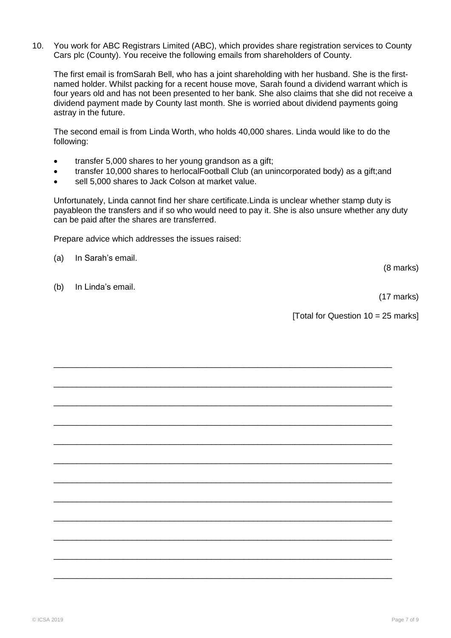10. You work for ABC Registrars Limited (ABC), which provides share registration services to County Cars plc (County). You receive the following emails from shareholders of County.

The first email is fromSarah Bell, who has a joint shareholding with her husband. She is the firstnamed holder. Whilst packing for a recent house move, Sarah found a dividend warrant which is four years old and has not been presented to her bank. She also claims that she did not receive a dividend payment made by County last month. She is worried about dividend payments going astray in the future.

The second email is from Linda Worth, who holds 40,000 shares. Linda would like to do the following:

- transfer 5,000 shares to her young grandson as a gift;
- transfer 10,000 shares to herlocalFootball Club (an unincorporated body) as a gift;and

\_\_\_\_\_\_\_\_\_\_\_\_\_\_\_\_\_\_\_\_\_\_\_\_\_\_\_\_\_\_\_\_\_\_\_\_\_\_\_\_\_\_\_\_\_\_\_\_\_\_\_\_\_\_\_\_\_\_\_\_\_\_\_\_\_\_\_\_\_\_\_\_\_

\_\_\_\_\_\_\_\_\_\_\_\_\_\_\_\_\_\_\_\_\_\_\_\_\_\_\_\_\_\_\_\_\_\_\_\_\_\_\_\_\_\_\_\_\_\_\_\_\_\_\_\_\_\_\_\_\_\_\_\_\_\_\_\_\_\_\_\_\_\_\_\_\_

\_\_\_\_\_\_\_\_\_\_\_\_\_\_\_\_\_\_\_\_\_\_\_\_\_\_\_\_\_\_\_\_\_\_\_\_\_\_\_\_\_\_\_\_\_\_\_\_\_\_\_\_\_\_\_\_\_\_\_\_\_\_\_\_\_\_\_\_\_\_\_\_\_

\_\_\_\_\_\_\_\_\_\_\_\_\_\_\_\_\_\_\_\_\_\_\_\_\_\_\_\_\_\_\_\_\_\_\_\_\_\_\_\_\_\_\_\_\_\_\_\_\_\_\_\_\_\_\_\_\_\_\_\_\_\_\_\_\_\_\_\_\_\_\_\_\_

\_\_\_\_\_\_\_\_\_\_\_\_\_\_\_\_\_\_\_\_\_\_\_\_\_\_\_\_\_\_\_\_\_\_\_\_\_\_\_\_\_\_\_\_\_\_\_\_\_\_\_\_\_\_\_\_\_\_\_\_\_\_\_\_\_\_\_\_\_\_\_\_\_

\_\_\_\_\_\_\_\_\_\_\_\_\_\_\_\_\_\_\_\_\_\_\_\_\_\_\_\_\_\_\_\_\_\_\_\_\_\_\_\_\_\_\_\_\_\_\_\_\_\_\_\_\_\_\_\_\_\_\_\_\_\_\_\_\_\_\_\_\_\_\_\_\_

\_\_\_\_\_\_\_\_\_\_\_\_\_\_\_\_\_\_\_\_\_\_\_\_\_\_\_\_\_\_\_\_\_\_\_\_\_\_\_\_\_\_\_\_\_\_\_\_\_\_\_\_\_\_\_\_\_\_\_\_\_\_\_\_\_\_\_\_\_\_\_\_\_

\_\_\_\_\_\_\_\_\_\_\_\_\_\_\_\_\_\_\_\_\_\_\_\_\_\_\_\_\_\_\_\_\_\_\_\_\_\_\_\_\_\_\_\_\_\_\_\_\_\_\_\_\_\_\_\_\_\_\_\_\_\_\_\_\_\_\_\_\_\_\_\_\_

\_\_\_\_\_\_\_\_\_\_\_\_\_\_\_\_\_\_\_\_\_\_\_\_\_\_\_\_\_\_\_\_\_\_\_\_\_\_\_\_\_\_\_\_\_\_\_\_\_\_\_\_\_\_\_\_\_\_\_\_\_\_\_\_\_\_\_\_\_\_\_\_\_

\_\_\_\_\_\_\_\_\_\_\_\_\_\_\_\_\_\_\_\_\_\_\_\_\_\_\_\_\_\_\_\_\_\_\_\_\_\_\_\_\_\_\_\_\_\_\_\_\_\_\_\_\_\_\_\_\_\_\_\_\_\_\_\_\_\_\_\_\_\_\_\_\_

\_\_\_\_\_\_\_\_\_\_\_\_\_\_\_\_\_\_\_\_\_\_\_\_\_\_\_\_\_\_\_\_\_\_\_\_\_\_\_\_\_\_\_\_\_\_\_\_\_\_\_\_\_\_\_\_\_\_\_\_\_\_\_\_\_\_\_\_\_\_\_\_\_

\_\_\_\_\_\_\_\_\_\_\_\_\_\_\_\_\_\_\_\_\_\_\_\_\_\_\_\_\_\_\_\_\_\_\_\_\_\_\_\_\_\_\_\_\_\_\_\_\_\_\_\_\_\_\_\_\_\_\_\_\_\_\_\_\_\_\_\_\_\_\_\_\_

• sell 5,000 shares to Jack Colson at market value.

Unfortunately, Linda cannot find her share certificate.Linda is unclear whether stamp duty is payableon the transfers and if so who would need to pay it. She is also unsure whether any duty can be paid after the shares are transferred.

Prepare advice which addresses the issues raised:

(a) In Sarah"s email.

(b) In Linda"s email.

(8 marks)

(17 marks)

[Total for Question  $10 = 25$  marks]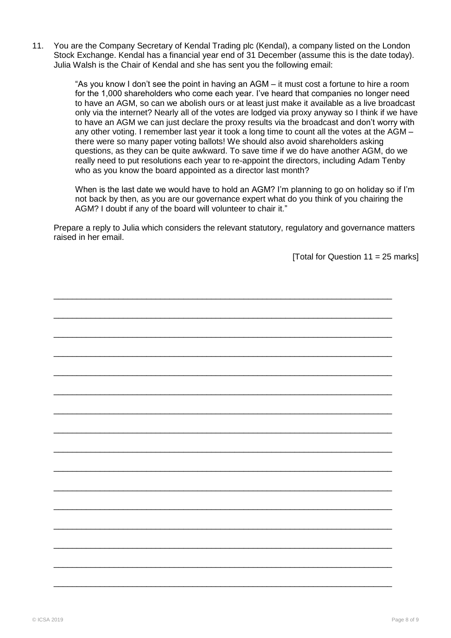11. You are the Company Secretary of Kendal Trading plc (Kendal), a company listed on the London Stock Exchange. Kendal has a financial year end of 31 December (assume this is the date today). Julia Walsh is the Chair of Kendal and she has sent you the following email:

> "As you know I don"t see the point in having an AGM – it must cost a fortune to hire a room for the 1,000 shareholders who come each year. I"ve heard that companies no longer need to have an AGM, so can we abolish ours or at least just make it available as a live broadcast only via the internet? Nearly all of the votes are lodged via proxy anyway so I think if we have to have an AGM we can just declare the proxy results via the broadcast and don"t worry with any other voting. I remember last year it took a long time to count all the votes at the AGM – there were so many paper voting ballots! We should also avoid shareholders asking questions, as they can be quite awkward. To save time if we do have another AGM, do we really need to put resolutions each year to re-appoint the directors, including Adam Tenby who as you know the board appointed as a director last month?

> When is the last date we would have to hold an AGM? I'm planning to go on holiday so if I'm not back by then, as you are our governance expert what do you think of you chairing the AGM? I doubt if any of the board will volunteer to chair it."

Prepare a reply to Julia which considers the relevant statutory, regulatory and governance matters raised in her email.

[Total for Question  $11 = 25$  marks]